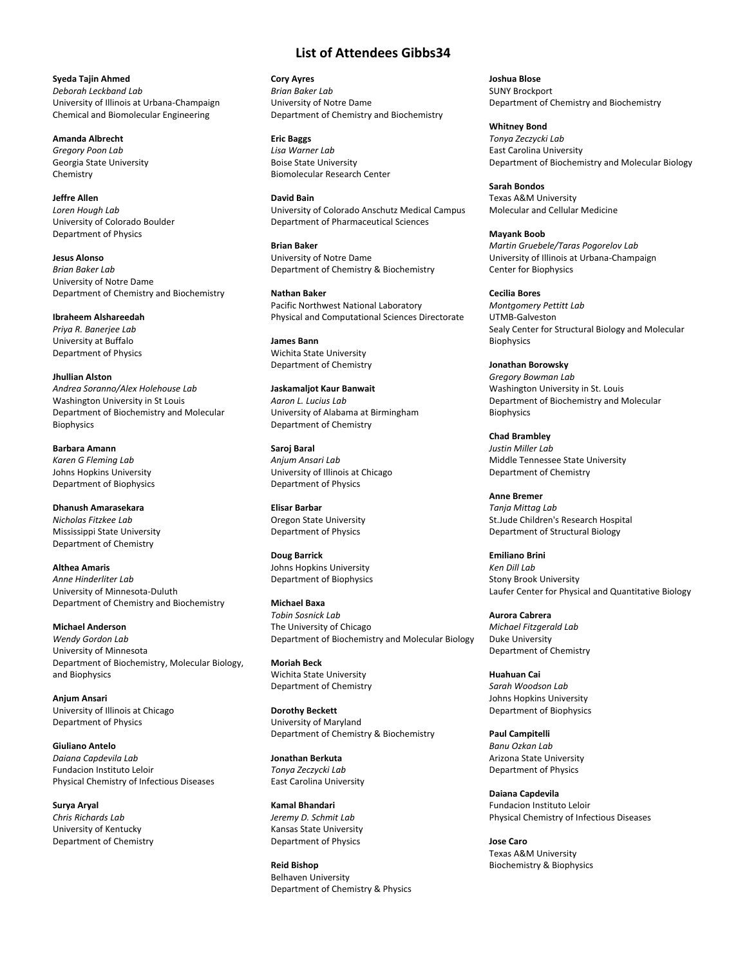**List of Attendees Gibbs34**

**Cory Ayres** *Brian Baker Lab* University of Notre Dame Department of Chemistry and Biochemistry

**Eric Baggs** *Lisa Warner Lab* Boise State University Biomolecular Research Center

**David Bain** University of Colorado Anschutz Medical Campus Department of Pharmaceutical Sciences

**Brian Baker** University of Notre Dame Department of Chemistry & Biochemistry

**Nathan Baker** Pacific Northwest National Laboratory Physical and Computational Sciences Directorate

**James Bann** Wichita State University Department of Chemistry

**Jaskamaljot Kaur Banwait** *Aaron L. Lucius Lab* University of Alabama at Birmingham Department of Chemistry

**Saroj Baral** *Anjum Ansari Lab* University of Illinois at Chicago Department of Physics

**Elisar Barbar** Oregon State University Department of Physics

**Doug Barrick** Johns Hopkins University Department of Biophysics

**Michael Baxa** *Tobin Sosnick Lab* The University of Chicago Department of Biochemistry and Molecular Biology

**Moriah Beck** Wichita State University Department of Chemistry

**Dorothy Beckett** University of Maryland Department of Chemistry & Biochemistry

**Jonathan Berkuta** *Tonya Zeczycki Lab* East Carolina University

**Kamal Bhandari** *Jeremy D. Schmit Lab* Kansas State University Department of Physics

**Reid Bishop** Belhaven University Department of Chemistry & Physics **Joshua Blose** SUNY Brockport Department of Chemistry and Biochemistry

**Whitney Bond** *Tonya Zeczycki Lab* East Carolina University Department of Biochemistry and Molecular Biology

**Sarah Bondos** Texas A&M University Molecular and Cellular Medicine

**Mayank Boob** *Martin Gruebele/Taras Pogorelov Lab* University of Illinois at Urbana-Champaign Center for Biophysics

**Cecilia Bores** *Montgomery Pettitt Lab* UTMB-Galveston Sealy Center for Structural Biology and Molecular Biophysics

**Jonathan Borowsky** *Gregory Bowman Lab* Washington University in St. Louis Department of Biochemistry and Molecular Biophysics

**Chad Brambley** *Justin Miller Lab* Middle Tennessee State University Department of Chemistry

**Anne Bremer** *Tanja Mittag Lab* St.Jude Children's Research Hospital Department of Structural Biology

**Emiliano Brini** *Ken Dill Lab* Stony Brook University Laufer Center for Physical and Quantitative Biology

**Aurora Cabrera** *Michael Fitzgerald Lab* Duke University Department of Chemistry

**Huahuan Cai** *Sarah Woodson Lab* Johns Hopkins University Department of Biophysics

**Paul Campitelli** *Banu Ozkan Lab* Arizona State University Department of Physics

**Daiana Capdevila** Fundacion Instituto Leloir Physical Chemistry of Infectious Diseases

**Jose Caro** Texas A&M University Biochemistry & Biophysics

## **Jeffre Allen** *Loren Hough Lab*

Chemistry

**Syeda Tajin Ahmed** *Deborah Leckband Lab*

**Amanda Albrecht** *Gregory Poon Lab* Georgia State University

University of Colorado Boulder Department of Physics

**Jesus Alonso** *Brian Baker Lab* University of Notre Dame Department of Chemistry and Biochemistry

University of Illinois at Urbana-Champaign Chemical and Biomolecular Engineering

**Ibraheem Alshareedah** *Priya R. Banerjee Lab* University at Buffalo Department of Physics

**Jhullian Alston** *Andrea Soranno/Alex Holehouse Lab* Washington University in St Louis Department of Biochemistry and Molecular Biophysics

**Barbara Amann** *Karen G Fleming Lab* Johns Hopkins University Department of Biophysics

**Dhanush Amarasekara** *Nicholas Fitzkee Lab* Mississippi State University Department of Chemistry

**Althea Amaris** *Anne Hinderliter Lab* University of Minnesota-Duluth Department of Chemistry and Biochemistry

**Michael Anderson** *Wendy Gordon Lab* University of Minnesota Department of Biochemistry, Molecular Biology, and Biophysics

**Anjum Ansari** University of Illinois at Chicago Department of Physics

**Giuliano Antelo** *Daiana Capdevila Lab* Fundacion Instituto Leloir Physical Chemistry of Infectious Diseases

**Surya Aryal** *Chris Richards Lab* University of Kentucky Department of Chemistry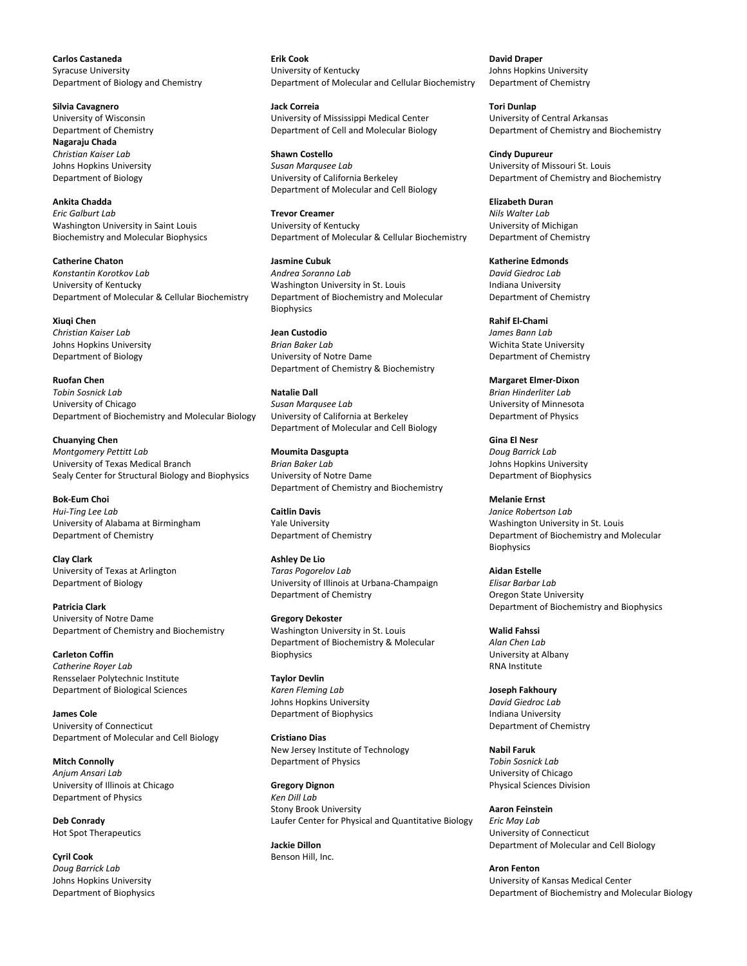**Carlos Castaneda** Syracuse University Department of Biology and Chemistry

**Silvia Cavagnero** University of Wisconsin Department of Chemistry **Nagaraju Chada** *Christian Kaiser Lab* Johns Hopkins University Department of Biology

**Ankita Chadda** *Eric Galburt Lab* Washington University in Saint Louis Biochemistry and Molecular Biophysics

**Catherine Chaton** *Konstantin Korotkov Lab* University of Kentucky Department of Molecular & Cellular Biochemistry

**Xiuqi Chen** *Christian Kaiser Lab* Johns Hopkins University Department of Biology

**Ruofan Chen** *Tobin Sosnick Lab* University of Chicago Department of Biochemistry and Molecular Biology

**Chuanying Chen** *Montgomery Pettitt Lab* University of Texas Medical Branch Sealy Center for Structural Biology and Biophysics

**Bok-Eum Choi** *Hui-Ting Lee Lab* University of Alabama at Birmingham Department of Chemistry

**Clay Clark** University of Texas at Arlington Department of Biology

**Patricia Clark** University of Notre Dame Department of Chemistry and Biochemistry

**Carleton Coffin** *Catherine Royer Lab* Rensselaer Polytechnic Institute Department of Biological Sciences

**James Cole** University of Connecticut Department of Molecular and Cell Biology

**Mitch Connolly** *Anjum Ansari Lab* University of Illinois at Chicago Department of Physics

**Deb Conrady** Hot Spot Therapeutics

**Cyril Cook** *Doug Barrick Lab* Johns Hopkins University Department of Biophysics **Erik Cook** University of Kentucky Department of Molecular and Cellular Biochemistry

**Jack Correia** University of Mississippi Medical Center Department of Cell and Molecular Biology

**Shawn Costello** *Susan Marqusee Lab* University of California Berkeley Department of Molecular and Cell Biology

**Trevor Creamer** University of Kentucky Department of Molecular & Cellular Biochemistry

**Jasmine Cubuk** *Andrea Soranno Lab* Washington University in St. Louis Department of Biochemistry and Molecular Biophysics

**Jean Custodio** *Brian Baker Lab* University of Notre Dame Department of Chemistry & Biochemistry

**Natalie Dall** *Susan Marqusee Lab* University of California at Berkeley Department of Molecular and Cell Biology

**Moumita Dasgupta** *Brian Baker Lab* University of Notre Dame Department of Chemistry and Biochemistry

**Caitlin Davis** Yale University Department of Chemistry

**Ashley De Lio** *Taras Pogorelov Lab* University of Illinois at Urbana-Champaign Department of Chemistry

**Gregory Dekoster** Washington University in St. Louis Department of Biochemistry & Molecular **Biophysics** 

**Taylor Devlin** *Karen Fleming Lab* Johns Hopkins University Department of Biophysics

**Cristiano Dias** New Jersey Institute of Technology Department of Physics

**Gregory Dignon** *Ken Dill Lab* Stony Brook University Laufer Center for Physical and Quantitative Biology

**Jackie Dillon** Benson Hill, Inc.

**David Draper** Johns Hopkins University Department of Chemistry

**Tori Dunlap** University of Central Arkansas Department of Chemistry and Biochemistry

**Cindy Dupureur** University of Missouri St. Louis Department of Chemistry and Biochemistry

**Elizabeth Duran** *Nils Walter Lab* University of Michigan Department of Chemistry

**Katherine Edmonds** *David Giedroc Lab* Indiana University Department of Chemistry

**Rahif El-Chami** *James Bann Lab* Wichita State University Department of Chemistry

**Margaret Elmer-Dixon** *Brian Hinderliter Lab* University of Minnesota Department of Physics

**Gina El Nesr** *Doug Barrick Lab* Johns Hopkins University Department of Biophysics

**Melanie Ernst** *Janice Robertson Lab* Washington University in St. Louis Department of Biochemistry and Molecular Biophysics

**Aidan Estelle** *Elisar Barbar Lab* Oregon State University Department of Biochemistry and Biophysics

**Walid Fahssi** *Alan Chen Lab* University at Albany RNA Institute

**Joseph Fakhoury** *David Giedroc Lab* Indiana University Department of Chemistry

**Nabil Faruk** *Tobin Sosnick Lab* University of Chicago Physical Sciences Division

**Aaron Feinstein** *Eric May Lab* University of Connecticut Department of Molecular and Cell Biology

**Aron Fenton** University of Kansas Medical Center Department of Biochemistry and Molecular Biology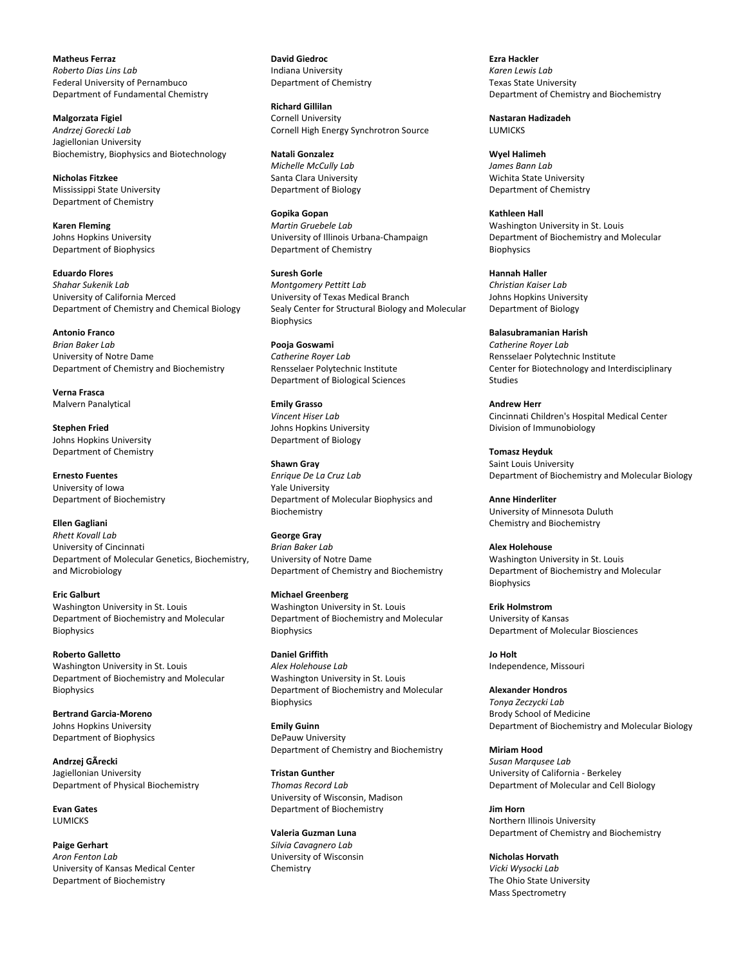**Matheus Ferraz** *Roberto Dias Lins Lab* Federal University of Pernambuco Department of Fundamental Chemistry

**Malgorzata Figiel** *Andrzej Gorecki Lab* Jagiellonian University Biochemistry, Biophysics and Biotechnology

**Nicholas Fitzkee** Mississippi State University Department of Chemistry

**Karen Fleming** Johns Hopkins University Department of Biophysics

**Eduardo Flores** *Shahar Sukenik Lab* University of California Merced Department of Chemistry and Chemical Biology

**Antonio Franco** *Brian Baker Lab* University of Notre Dame Department of Chemistry and Biochemistry

**Verna Frasca** Malvern Panalytical

**Stephen Fried** Johns Hopkins University Department of Chemistry

**Ernesto Fuentes** University of Iowa Department of Biochemistry

**Ellen Gagliani** *Rhett Kovall Lab* University of Cincinnati Department of Molecular Genetics, Biochemistry, and Microbiology

**Eric Galburt** Washington University in St. Louis Department of Biochemistry and Molecular **Biophysics** 

**Roberto Galletto** Washington University in St. Louis Department of Biochemistry and Molecular Biophysics

**Bertrand Garcia-Moreno** Johns Hopkins University Department of Biophysics

**Andrzej GÃrecki** Jagiellonian University Department of Physical Biochemistry

**Evan Gates** LUMICKS

**Paige Gerhart** *Aron Fenton Lab* University of Kansas Medical Center Department of Biochemistry

**David Giedroc** Indiana University Department of Chemistry

**Richard Gillilan** Cornell University Cornell High Energy Synchrotron Source

**Natali Gonzalez** *Michelle McCully Lab* Santa Clara University Department of Biology

**Gopika Gopan** *Martin Gruebele Lab* University of Illinois Urbana-Champaign Department of Chemistry

**Suresh Gorle** *Montgomery Pettitt Lab* University of Texas Medical Branch Sealy Center for Structural Biology and Molecular **Biophysics** 

**Pooja Goswami** *Catherine Royer Lab* Rensselaer Polytechnic Institute Department of Biological Sciences

**Emily Grasso** *Vincent Hiser Lab* Johns Hopkins University Department of Biology

**Shawn Gray** *Enrique De La Cruz Lab* Yale University Department of Molecular Biophysics and Biochemistry

**George Gray** *Brian Baker Lab* University of Notre Dame Department of Chemistry and Biochemistry

**Michael Greenberg** Washington University in St. Louis Department of Biochemistry and Molecular **Biophysics** 

**Daniel Griffith** *Alex Holehouse Lab* Washington University in St. Louis Department of Biochemistry and Molecular **Biophysics** 

**Emily Guinn** DePauw University Department of Chemistry and Biochemistry

**Tristan Gunther** *Thomas Record Lab* University of Wisconsin, Madison Department of Biochemistry

**Valeria Guzman Luna** *Silvia Cavagnero Lab* University of Wisconsin Chemistry

**Ezra Hackler** *Karen Lewis Lab* Texas State University Department of Chemistry and Biochemistry

**Nastaran Hadizadeh LUMICKS** 

**Wyel Halimeh** *James Bann Lab* Wichita State University Department of Chemistry

**Kathleen Hall** Washington University in St. Louis Department of Biochemistry and Molecular **Biophysics** 

**Hannah Haller** *Christian Kaiser Lab* Johns Hopkins University Department of Biology

**Balasubramanian Harish** *Catherine Royer Lab* Rensselaer Polytechnic Institute Center for Biotechnology and Interdisciplinary Studies

**Andrew Herr** Cincinnati Children's Hospital Medical Center Division of Immunobiology

**Tomasz Heyduk** Saint Louis University Department of Biochemistry and Molecular Biology

**Anne Hinderliter** University of Minnesota Duluth Chemistry and Biochemistry

**Alex Holehouse** Washington University in St. Louis Department of Biochemistry and Molecular Biophysics

**Erik Holmstrom** University of Kansas Department of Molecular Biosciences

**Jo Holt** Independence, Missouri

**Alexander Hondros** *Tonya Zeczycki Lab* Brody School of Medicine Department of Biochemistry and Molecular Biology

**Miriam Hood** *Susan Marqusee Lab* University of California - Berkeley Department of Molecular and Cell Biology

**Jim Horn** Northern Illinois University Department of Chemistry and Biochemistry

**Nicholas Horvath** *Vicki Wysocki Lab* The Ohio State University Mass Spectrometry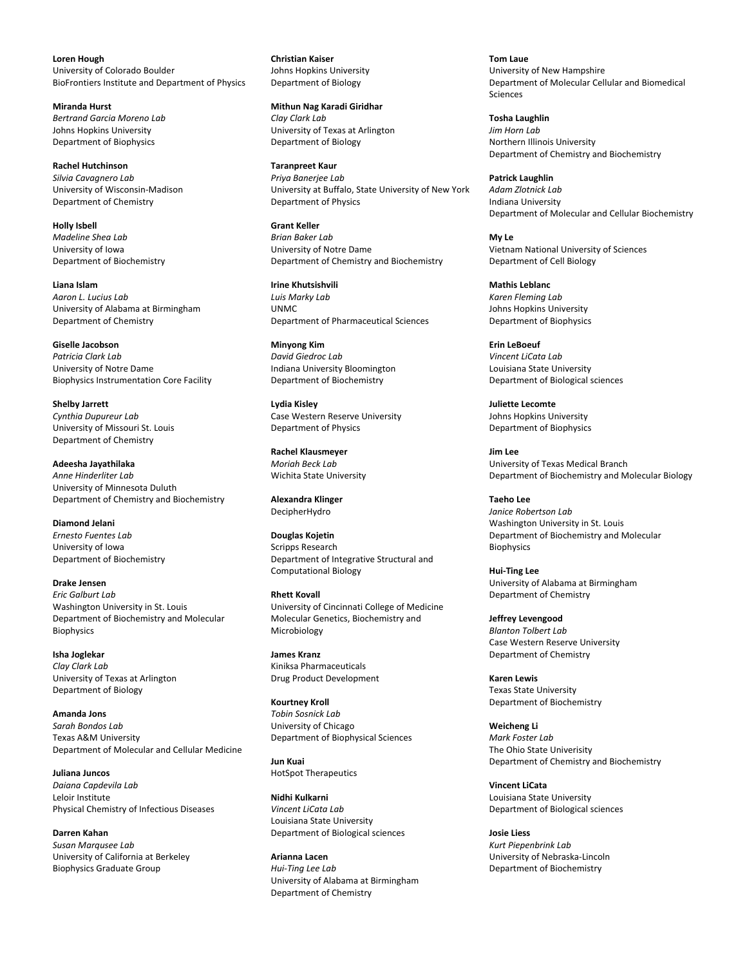**Loren Hough** University of Colorado Boulder BioFrontiers Institute and Department of Physics

**Miranda Hurst** *Bertrand Garcia Moreno Lab* Johns Hopkins University Department of Biophysics

**Rachel Hutchinson** *Silvia Cavagnero Lab* University of Wisconsin-Madison Department of Chemistry

**Holly Isbell** *Madeline Shea Lab* University of Iowa Department of Biochemistry

**Liana Islam** *Aaron L. Lucius Lab* University of Alabama at Birmingham Department of Chemistry

**Giselle Jacobson** *Patricia Clark Lab* University of Notre Dame Biophysics Instrumentation Core Facility

**Shelby Jarrett** *Cynthia Dupureur Lab* University of Missouri St. Louis Department of Chemistry

**Adeesha Jayathilaka** *Anne Hinderliter Lab* University of Minnesota Duluth Department of Chemistry and Biochemistry

**Diamond Jelani** *Ernesto Fuentes Lab* University of Iowa Department of Biochemistry

**Drake Jensen** *Eric Galburt Lab* Washington University in St. Louis Department of Biochemistry and Molecular Biophysics

**Isha Joglekar** *Clay Clark Lab* University of Texas at Arlington Department of Biology

**Amanda Jons** *Sarah Bondos Lab* Texas A&M University Department of Molecular and Cellular Medicine

**Juliana Juncos** *Daiana Capdevila Lab* Leloir Institute Physical Chemistry of Infectious Diseases

**Darren Kahan** *Susan Marqusee Lab* University of California at Berkeley Biophysics Graduate Group

**Christian Kaiser** Johns Hopkins University Department of Biology

**Mithun Nag Karadi Giridhar** *Clay Clark Lab* University of Texas at Arlington Department of Biology

**Taranpreet Kaur** *Priya Banerjee Lab* University at Buffalo, State University of New York Department of Physics

**Grant Keller** *Brian Baker Lab* University of Notre Dame Department of Chemistry and Biochemistry

**Irine Khutsishvili** *Luis Marky Lab* UNMC Department of Pharmaceutical Sciences

**Minyong Kim** *David Giedroc Lab* Indiana University Bloomington Department of Biochemistry

**Lydia Kisley** Case Western Reserve University Department of Physics

**Rachel Klausmeyer** *Moriah Beck Lab* Wichita State University

**Alexandra Klinger** DecipherHydro

**Douglas Kojetin** Scripps Research Department of Integrative Structural and Computational Biology

**Rhett Kovall** University of Cincinnati College of Medicine Molecular Genetics, Biochemistry and Microbiology

**James Kranz** Kiniksa Pharmaceuticals Drug Product Development

**Kourtney Kroll** *Tobin Sosnick Lab* University of Chicago Department of Biophysical Sciences

**Jun Kuai** HotSpot Therapeutics

**Nidhi Kulkarni** *Vincent LiCata Lab* Louisiana State University Department of Biological sciences

**Arianna Lacen** *Hui-Ting Lee Lab* University of Alabama at Birmingham Department of Chemistry

**Tom Laue** University of New Hampshire Department of Molecular Cellular and Biomedical Sciences

**Tosha Laughlin** *Jim Horn Lab* Northern Illinois University Department of Chemistry and Biochemistry

**Patrick Laughlin** *Adam Zlotnick Lab* Indiana University Department of Molecular and Cellular Biochemistry

**My Le** Vietnam National University of Sciences Department of Cell Biology

**Mathis Leblanc** *Karen Fleming Lab* Johns Hopkins University Department of Biophysics

**Erin LeBoeuf** *Vincent LiCata Lab* Louisiana State University Department of Biological sciences

**Juliette Lecomte** Johns Hopkins University Department of Biophysics

**Jim Lee** University of Texas Medical Branch Department of Biochemistry and Molecular Biology

**Taeho Lee** *Janice Robertson Lab* Washington University in St. Louis Department of Biochemistry and Molecular Biophysics

**Hui-Ting Lee** University of Alabama at Birmingham Department of Chemistry

**Jeffrey Levengood** *Blanton Tolbert Lab* Case Western Reserve University Department of Chemistry

**Karen Lewis** Texas State University Department of Biochemistry

**Weicheng Li** *Mark Foster Lab* The Ohio State Univerisity Department of Chemistry and Biochemistry

**Vincent LiCata** Louisiana State University Department of Biological sciences

**Josie Liess** *Kurt Piepenbrink Lab* University of Nebraska-Lincoln Department of Biochemistry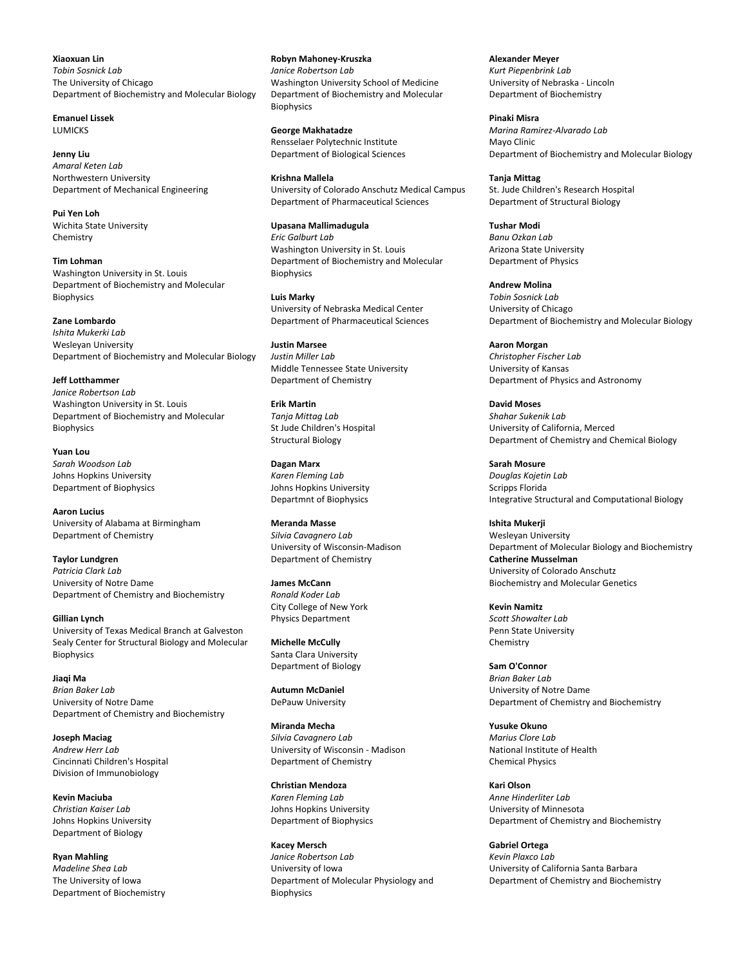**Xiaoxuan Lin** *Tobin Sosnick Lab* The University of Chicago Department of Biochemistry and Molecular Biology

**Emanuel Lissek LUMICKS** 

**Jenny Liu** *Amaral Keten Lab* Northwestern University Department of Mechanical Engineering

**Pui Yen Loh** Wichita State University Chemistry

**Tim Lohman** Washington University in St. Louis Department of Biochemistry and Molecular Biophysics

**Zane Lombardo** *Ishita Mukerki Lab* Wesleyan University Department of Biochemistry and Molecular Biology

**Jeff Lotthammer** *Janice Robertson Lab* Washington University in St. Louis Department of Biochemistry and Molecular Biophysics

**Yuan Lou** *Sarah Woodson Lab* Johns Hopkins University Department of Biophysics

**Aaron Lucius** University of Alabama at Birmingham Department of Chemistry

**Taylor Lundgren** *Patricia Clark Lab* University of Notre Dame Department of Chemistry and Biochemistry

**Gillian Lynch** University of Texas Medical Branch at Galveston Sealy Center for Structural Biology and Molecular Biophysics

**Jiaqi Ma** *Brian Baker Lab* University of Notre Dame Department of Chemistry and Biochemistry

**Joseph Maciag** *Andrew Herr Lab* Cincinnati Children's Hospital Division of Immunobiology

**Kevin Maciuba** *Christian Kaiser Lab* Johns Hopkins University Department of Biology

**Ryan Mahling** *Madeline Shea Lab* The University of Iowa Department of Biochemistry

**Robyn Mahoney-Kruszka** *Janice Robertson Lab* Washington University School of Medicine Department of Biochemistry and Molecular **Biophysics** 

**George Makhatadze** Rensselaer Polytechnic Institute Department of Biological Sciences

**Krishna Mallela** University of Colorado Anschutz Medical Campus Department of Pharmaceutical Sciences

**Upasana Mallimadugula** *Eric Galburt Lab* Washington University in St. Louis Department of Biochemistry and Molecular **Biophysics** 

**Luis Marky** University of Nebraska Medical Center Department of Pharmaceutical Sciences

**Justin Marsee** *Justin Miller Lab* Middle Tennessee State University Department of Chemistry

**Erik Martin** *Tanja Mittag Lab* St Jude Children's Hospital Structural Biology

**Dagan Marx** *Karen Fleming Lab* Johns Hopkins University Departmnt of Biophysics

**Meranda Masse** *Silvia Cavagnero Lab* University of Wisconsin-Madison Department of Chemistry

**James McCann** *Ronald Koder Lab* City College of New York Physics Department

**Michelle McCully** Santa Clara University Department of Biology

**Autumn McDaniel** DePauw University

**Miranda Mecha** *Silvia Cavagnero Lab* University of Wisconsin - Madison Department of Chemistry

**Christian Mendoza** *Karen Fleming Lab* Johns Hopkins University Department of Biophysics

**Kacey Mersch** *Janice Robertson Lab* University of Iowa Department of Molecular Physiology and **Biophysics** 

**Alexander Meyer** *Kurt Piepenbrink Lab* University of Nebraska - Lincoln Department of Biochemistry

**Pinaki Misra** *Marina Ramirez-Alvarado Lab* Mayo Clinic Department of Biochemistry and Molecular Biology

**Tanja Mittag** St. Jude Children's Research Hospital Department of Structural Biology

**Tushar Modi** *Banu Ozkan Lab* Arizona State University Department of Physics

**Andrew Molina** *Tobin Sosnick Lab* University of Chicago Department of Biochemistry and Molecular Biology

**Aaron Morgan** *Christopher Fischer Lab* University of Kansas Department of Physics and Astronomy

**David Moses** *Shahar Sukenik Lab* University of California, Merced Department of Chemistry and Chemical Biology

**Sarah Mosure** *Douglas Kojetin Lab* Scripps Florida Integrative Structural and Computational Biology

**Ishita Mukerji** Wesleyan University Department of Molecular Biology and Biochemistry **Catherine Musselman** University of Colorado Anschutz Biochemistry and Molecular Genetics

**Kevin Namitz** *Scott Showalter Lab* Penn State University Chemistry

**Sam O'Connor** *Brian Baker Lab* University of Notre Dame Department of Chemistry and Biochemistry

**Yusuke Okuno** *Marius Clore Lab* National Institute of Health Chemical Physics

**Kari Olson** *Anne Hinderliter Lab* University of Minnesota Department of Chemistry and Biochemistry

**Gabriel Ortega** *Kevin Plaxco Lab* University of California Santa Barbara Department of Chemistry and Biochemistry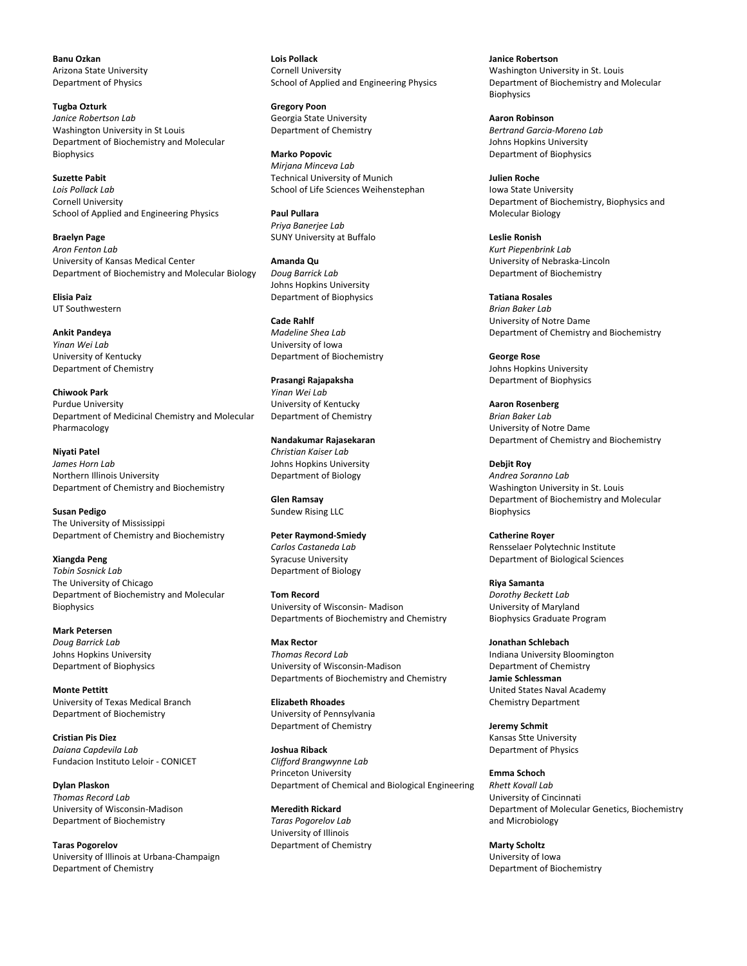**Banu Ozkan** Arizona State University Department of Physics

**Tugba Ozturk** *Janice Robertson Lab* Washington University in St Louis Department of Biochemistry and Molecular Biophysics

**Suzette Pabit** *Lois Pollack Lab* Cornell University School of Applied and Engineering Physics

**Braelyn Page** *Aron Fenton Lab* University of Kansas Medical Center Department of Biochemistry and Molecular Biology

**Elisia Paiz** UT Southwestern

**Ankit Pandeya** *Yinan Wei Lab* University of Kentucky Department of Chemistry

**Chiwook Park** Purdue University Department of Medicinal Chemistry and Molecular Pharmacology

**Niyati Patel** *James Horn Lab* Northern Illinois University Department of Chemistry and Biochemistry

**Susan Pedigo** The University of Mississippi Department of Chemistry and Biochemistry

**Xiangda Peng** *Tobin Sosnick Lab* The University of Chicago Department of Biochemistry and Molecular Biophysics

**Mark Petersen** *Doug Barrick Lab* Johns Hopkins University Department of Biophysics

**Monte Pettitt** University of Texas Medical Branch Department of Biochemistry

**Cristian Pis Diez** *Daiana Capdevila Lab* Fundacion Instituto Leloir - CONICET

**Dylan Plaskon** *Thomas Record Lab* University of Wisconsin-Madison Department of Biochemistry

**Taras Pogorelov** University of Illinois at Urbana-Champaign Department of Chemistry

**Lois Pollack** Cornell University School of Applied and Engineering Physics

**Gregory Poon** Georgia State University Department of Chemistry

**Marko Popovic** *Mirjana Minceva Lab* Technical University of Munich School of Life Sciences Weihenstephan

**Paul Pullara** *Priya Banerjee Lab* SUNY University at Buffalo

**Amanda Qu** *Doug Barrick Lab* Johns Hopkins University Department of Biophysics

**Cade Rahlf** *Madeline Shea Lab* University of Iowa Department of Biochemistry

**Prasangi Rajapaksha** *Yinan Wei Lab* University of Kentucky Department of Chemistry

**Nandakumar Rajasekaran** *Christian Kaiser Lab* Johns Hopkins University Department of Biology

**Glen Ramsay** Sundew Rising LLC

**Peter Raymond-Smiedy** *Carlos Castaneda Lab* Syracuse University Department of Biology

**Tom Record** University of Wisconsin- Madison Departments of Biochemistry and Chemistry

**Max Rector** *Thomas Record Lab* University of Wisconsin-Madison Departments of Biochemistry and Chemistry

**Elizabeth Rhoades** University of Pennsylvania Department of Chemistry

**Joshua Riback** *Clifford Brangwynne Lab* Princeton University Department of Chemical and Biological Engineering

**Meredith Rickard** *Taras Pogorelov Lab* University of Illinois Department of Chemistry **Janice Robertson** Washington University in St. Louis Department of Biochemistry and Molecular **Biophysics** 

**Aaron Robinson** *Bertrand Garcia-Moreno Lab* Johns Hopkins University Department of Biophysics

**Julien Roche** Iowa State University Department of Biochemistry, Biophysics and Molecular Biology

**Leslie Ronish** *Kurt Piepenbrink Lab* University of Nebraska-Lincoln Department of Biochemistry

**Tatiana Rosales** *Brian Baker Lab* University of Notre Dame Department of Chemistry and Biochemistry

**George Rose** Johns Hopkins University Department of Biophysics

**Aaron Rosenberg** *Brian Baker Lab* University of Notre Dame Department of Chemistry and Biochemistry

**Debjit Roy** *Andrea Soranno Lab* Washington University in St. Louis Department of Biochemistry and Molecular Biophysics

**Catherine Royer** Rensselaer Polytechnic Institute Department of Biological Sciences

**Riya Samanta** *Dorothy Beckett Lab* University of Maryland Biophysics Graduate Program

**Jonathan Schlebach** Indiana University Bloomington Department of Chemistry **Jamie Schlessman** United States Naval Academy Chemistry Department

**Jeremy Schmit** Kansas Stte University Department of Physics

**Emma Schoch** *Rhett Kovall Lab* University of Cincinnati Department of Molecular Genetics, Biochemistry and Microbiology

**Marty Scholtz** University of Iowa Department of Biochemistry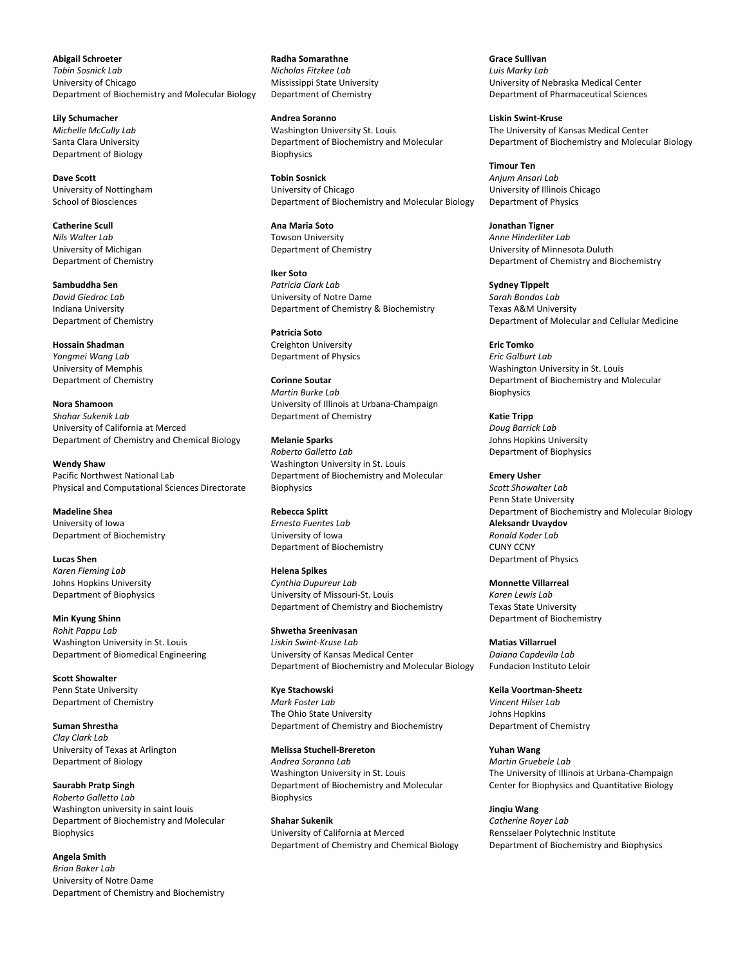**Abigail Schroeter** *Tobin Sosnick Lab* University of Chicago Department of Biochemistry and Molecular Biology

**Lily Schumacher** *Michelle McCully Lab* Santa Clara University Department of Biology

**Dave Scott** University of Nottingham School of Biosciences

**Catherine Scull** *Nils Walter Lab* University of Michigan Department of Chemistry

**Sambuddha Sen** *David Giedroc Lab* Indiana University Department of Chemistry

**Hossain Shadman** *Yongmei Wang Lab* University of Memphis Department of Chemistry

**Nora Shamoon** *Shahar Sukenik Lab* University of California at Merced Department of Chemistry and Chemical Biology

**Wendy Shaw** Pacific Northwest National Lab Physical and Computational Sciences Directorate

**Madeline Shea** University of Iowa Department of Biochemistry

**Lucas Shen** *Karen Fleming Lab* Johns Hopkins University Department of Biophysics

**Min Kyung Shinn** *Rohit Pappu Lab* Washington University in St. Louis Department of Biomedical Engineering

**Scott Showalter** Penn State University Department of Chemistry

**Suman Shrestha** *Clay Clark Lab* University of Texas at Arlington Department of Biology

**Saurabh Pratp Singh** *Roberto Galletto Lab* Washington university in saint louis Department of Biochemistry and Molecular Biophysics

**Angela Smith** *Brian Baker Lab* University of Notre Dame Department of Chemistry and Biochemistry

**Radha Somarathne** *Nicholas Fitzkee Lab* Mississippi State University Department of Chemistry

**Andrea Soranno** Washington University St. Louis Department of Biochemistry and Molecular Biophysics

**Tobin Sosnick** University of Chicago Department of Biochemistry and Molecular Biology

**Ana Maria Soto** Towson University Department of Chemistry

**Iker Soto** *Patricia Clark Lab* University of Notre Dame Department of Chemistry & Biochemistry

**Patricia Soto** Creighton University Department of Physics

**Corinne Soutar** *Martin Burke Lab* University of Illinois at Urbana-Champaign Department of Chemistry

**Melanie Sparks** *Roberto Galletto Lab* Washington University in St. Louis Department of Biochemistry and Molecular Biophysics

**Rebecca Splitt** *Ernesto Fuentes Lab* University of Iowa Department of Biochemistry

**Helena Spikes** *Cynthia Dupureur Lab* University of Missouri-St. Louis Department of Chemistry and Biochemistry

**Shwetha Sreenivasan**  *Liskin Swint-Kruse Lab* University of Kansas Medical Center Department of Biochemistry and Molecular Biology

**Kye Stachowski** *Mark Foster Lab* The Ohio State University Department of Chemistry and Biochemistry

**Melissa Stuchell-Brereton** *Andrea Soranno Lab* Washington University in St. Louis Department of Biochemistry and Molecular Biophysics

**Shahar Sukenik** University of California at Merced Department of Chemistry and Chemical Biology **Grace Sullivan** *Luis Marky Lab* University of Nebraska Medical Center Department of Pharmaceutical Sciences

**Liskin Swint-Kruse** The University of Kansas Medical Center Department of Biochemistry and Molecular Biology

**Timour Ten** *Anjum Ansari Lab* University of Illinois Chicago Department of Physics

**Jonathan Tigner** *Anne Hinderliter Lab* University of Minnesota Duluth Department of Chemistry and Biochemistry

**Sydney Tippelt** *Sarah Bondos Lab* Texas A&M University Department of Molecular and Cellular Medicine

**Eric Tomko** *Eric Galburt Lab* Washington University in St. Louis Department of Biochemistry and Molecular Biophysics

**Katie Tripp** *Doug Barrick Lab* Johns Hopkins University Department of Biophysics

**Emery Usher** *Scott Showalter Lab* Penn State University Department of Biochemistry and Molecular Biology **Aleksandr Uvaydov** *Ronald Koder Lab* CUNY CCNY Department of Physics

**Monnette Villarreal**  *Karen Lewis Lab* Texas State University Department of Biochemistry

**Matias Villarruel** *Daiana Capdevila Lab* Fundacion Instituto Leloir

**Keila Voortman-Sheetz** *Vincent Hilser Lab* Johns Hopkins Department of Chemistry

**Yuhan Wang** *Martin Gruebele Lab* The University of Illinois at Urbana-Champaign Center for Biophysics and Quantitative Biology

**Jinqiu Wang** *Catherine Royer Lab* Rensselaer Polytechnic Institute Department of Biochemistry and Biophysics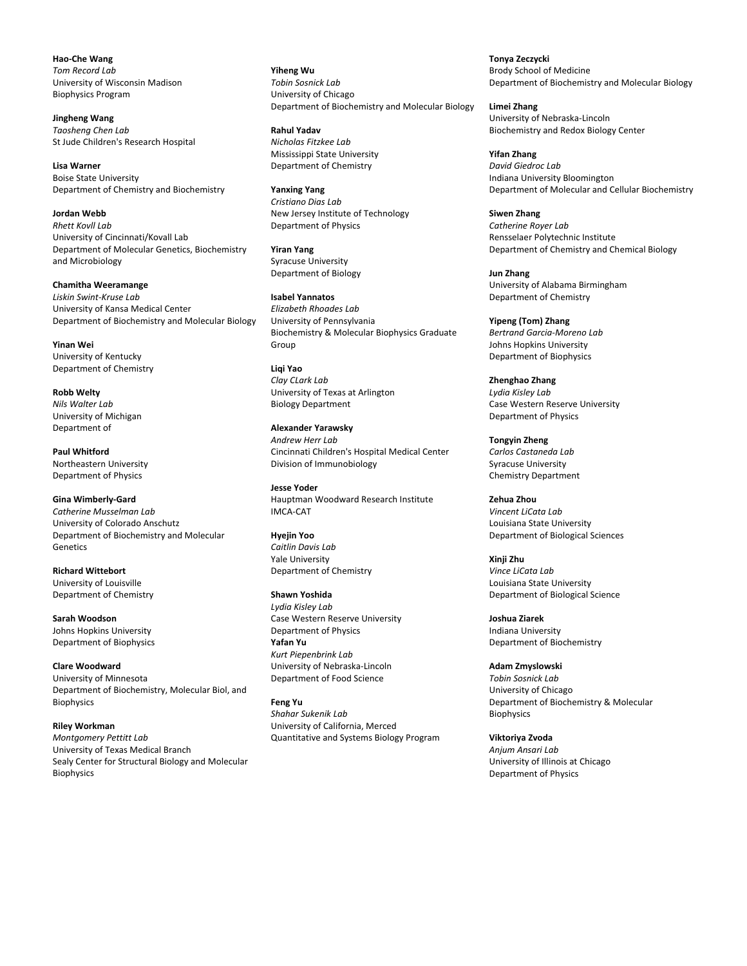**Hao-Che Wang** *Tom Record Lab* University of Wisconsin Madison Biophysics Program

**Jingheng Wang** *Taosheng Chen Lab* St Jude Children's Research Hospital

**Lisa Warner** Boise State University Department of Chemistry and Biochemistry

**Jordan Webb** *Rhett Kovll Lab* University of Cincinnati/Kovall Lab Department of Molecular Genetics, Biochemistry and Microbiology

**Chamitha Weeramange** *Liskin Swint-Kruse Lab* University of Kansa Medical Center Department of Biochemistry and Molecular Biology

**Yinan Wei** University of Kentucky Department of Chemistry

**Robb Welty** *Nils Walter Lab* University of Michigan Department of

**Paul Whitford** Northeastern University Department of Physics

**Gina Wimberly-Gard** *Catherine Musselman Lab* University of Colorado Anschutz Department of Biochemistry and Molecular Genetics

**Richard Wittebort** University of Louisville Department of Chemistry

**Sarah Woodson** Johns Hopkins University Department of Biophysics

**Clare Woodward** University of Minnesota Department of Biochemistry, Molecular Biol, and Biophysics

**Riley Workman** *Montgomery Pettitt Lab* University of Texas Medical Branch Sealy Center for Structural Biology and Molecular Biophysics

**Yiheng Wu** *Tobin Sosnick Lab* University of Chicago Department of Biochemistry and Molecular Biology

**Rahul Yadav** *Nicholas Fitzkee Lab* Mississippi State University Department of Chemistry

**Yanxing Yang** *Cristiano Dias Lab* New Jersey Institute of Technology Department of Physics

**Yiran Yang** Syracuse University Department of Biology

**Isabel Yannatos** *Elizabeth Rhoades Lab* University of Pennsylvania Biochemistry & Molecular Biophysics Graduate Group

**Liqi Yao** *Clay CLark Lab* University of Texas at Arlington Biology Department

**Alexander Yarawsky** *Andrew Herr Lab* Cincinnati Children's Hospital Medical Center Division of Immunobiology

**Jesse Yoder** Hauptman Woodward Research Institute IMCA-CAT

**Hyejin Yoo** *Caitlin Davis Lab* Yale University Department of Chemistry

**Shawn Yoshida** *Lydia Kisley Lab* Case Western Reserve University Department of Physics **Yafan Yu** *Kurt Piepenbrink Lab* University of Nebraska-Lincoln Department of Food Science

**Feng Yu** *Shahar Sukenik Lab* University of California, Merced Quantitative and Systems Biology Program **Tonya Zeczycki** Brody School of Medicine Department of Biochemistry and Molecular Biology

**Limei Zhang** University of Nebraska-Lincoln Biochemistry and Redox Biology Center

**Yifan Zhang** *David Giedroc Lab* Indiana University Bloomington Department of Molecular and Cellular Biochemistry

**Siwen Zhang** *Catherine Royer Lab* Rensselaer Polytechnic Institute Department of Chemistry and Chemical Biology

**Jun Zhang** University of Alabama Birmingham Department of Chemistry

**Yipeng (Tom) Zhang** *Bertrand Garcia-Moreno Lab* Johns Hopkins University Department of Biophysics

**Zhenghao Zhang** *Lydia Kisley Lab* Case Western Reserve University Department of Physics

**Tongyin Zheng** *Carlos Castaneda Lab* Syracuse University Chemistry Department

**Zehua Zhou** *Vincent LiCata Lab* Louisiana State University Department of Biological Sciences

**Xinji Zhu** *Vince LiCata Lab* Louisiana State University Department of Biological Science

**Joshua Ziarek** Indiana University Department of Biochemistry

**Adam Zmyslowski** *Tobin Sosnick Lab* University of Chicago Department of Biochemistry & Molecular Biophysics

**Viktoriya Zvoda** *Anjum Ansari Lab* University of Illinois at Chicago Department of Physics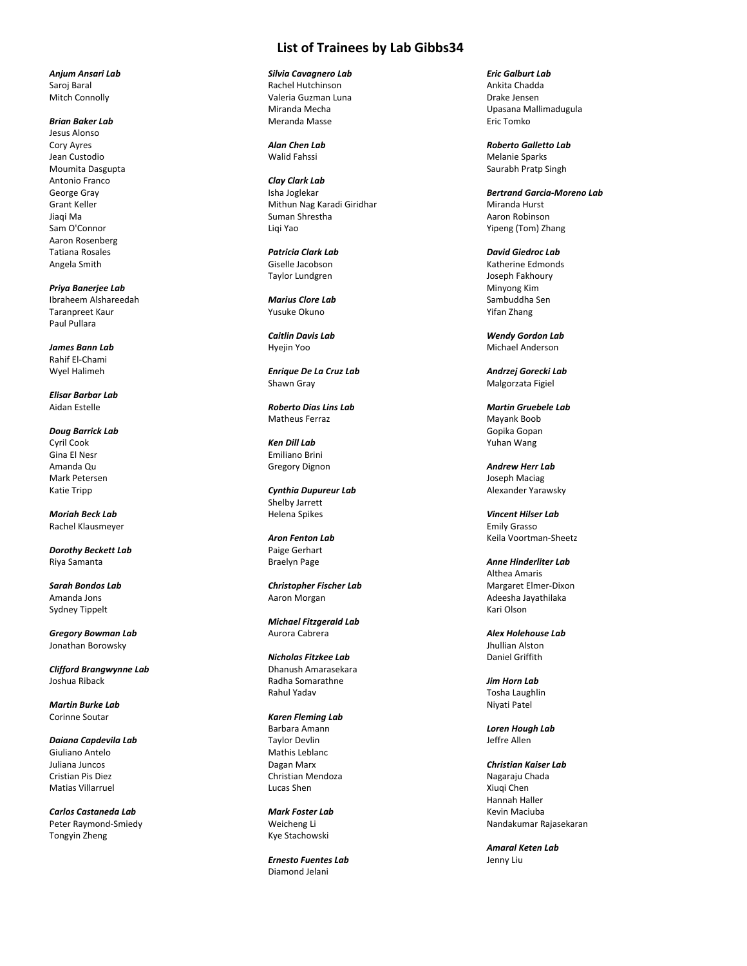## **List of Trainees by Lab Gibbs34**

*Silvia Cavagnero Lab* Rachel Hutchinson Valeria Guzman Luna Miranda Mecha Meranda Masse

*Alan Chen Lab* Walid Fahssi

*Clay Clark Lab* Isha Joglekar Mithun Nag Karadi Giridhar Suman Shrestha Liqi Yao

*Patricia Clark Lab* Giselle Jacobson Taylor Lundgren

*Marius Clore Lab* Yusuke Okuno

*Caitlin Davis Lab* Hyejin Yoo

*Enrique De La Cruz Lab* Shawn Gray

*Roberto Dias Lins Lab* Matheus Ferraz

*Ken Dill Lab* Emiliano Brini Gregory Dignon

*Cynthia Dupureur Lab* Shelby Jarrett Helena Spikes

*Aron Fenton Lab* Paige Gerhart Braelyn Page

*Christopher Fischer Lab* Aaron Morgan

*Michael Fitzgerald Lab* Aurora Cabrera

*Nicholas Fitzkee Lab* Dhanush Amarasekara Radha Somarathne Rahul Yadav

*Karen Fleming Lab* Barbara Amann Taylor Devlin Mathis Leblanc Dagan Marx Christian Mendoza Lucas Shen

*Mark Foster Lab* Weicheng Li Kye Stachowski

*Ernesto Fuentes Lab* Diamond Jelani

*Eric Galburt Lab* Ankita Chadda Drake Jensen Upasana Mallimadugula Eric Tomko

*Roberto Galletto Lab* Melanie Sparks Saurabh Pratp Singh

*Bertrand Garcia-Moreno Lab* Miranda Hurst Aaron Robinson Yipeng (Tom) Zhang

*David Giedroc Lab* Katherine Edmonds Joseph Fakhoury Minyong Kim Sambuddha Sen Yifan Zhang

*Wendy Gordon Lab* Michael Anderson

*Andrzej Gorecki Lab* Malgorzata Figiel

*Martin Gruebele Lab* Mayank Boob Gopika Gopan Yuhan Wang

*Andrew Herr Lab* Joseph Maciag Alexander Yarawsky

*Vincent Hilser Lab* Emily Grasso Keila Voortman-Sheetz

*Anne Hinderliter Lab* Althea Amaris Margaret Elmer-Dixon Adeesha Jayathilaka Kari Olson

*Alex Holehouse Lab* Jhullian Alston Daniel Griffith

*Jim Horn Lab* Tosha Laughlin Niyati Patel

*Loren Hough Lab* Jeffre Allen

*Christian Kaiser Lab* Nagaraju Chada Xiuqi Chen Hannah Haller Kevin Maciuba Nandakumar Rajasekaran

*Amaral Keten Lab* Jenny Liu

*Anjum Ansari Lab* Saroj Baral Mitch Connolly

## *Brian Baker Lab*

Jesus Alonso Cory Ayres Jean Custodio Moumita Dasgupta Antonio Franco George Gray Grant Keller Jiaqi Ma Sam O'Connor Aaron Rosenberg Tatiana Rosales Angela Smith

*Priya Banerjee Lab* Ibraheem Alshareedah Taranpreet Kaur Paul Pullara

*James Bann Lab* Rahif El-Chami Wyel Halimeh

*Elisar Barbar Lab* Aidan Estelle

*Doug Barrick Lab* Cyril Cook Gina El Nesr Amanda Qu Mark Petersen Katie Tripp

*Moriah Beck Lab* Rachel Klausmeyer

*Dorothy Beckett Lab* Riya Samanta

*Sarah Bondos Lab* Amanda Jons Sydney Tippelt

*Gregory Bowman Lab* Jonathan Borowsky

*Clifford Brangwynne Lab* Joshua Riback

*Martin Burke Lab* Corinne Soutar

*Daiana Capdevila Lab* Giuliano Antelo Juliana Juncos Cristian Pis Diez Matias Villarruel

*Carlos Castaneda Lab* Peter Raymond-Smiedy Tongyin Zheng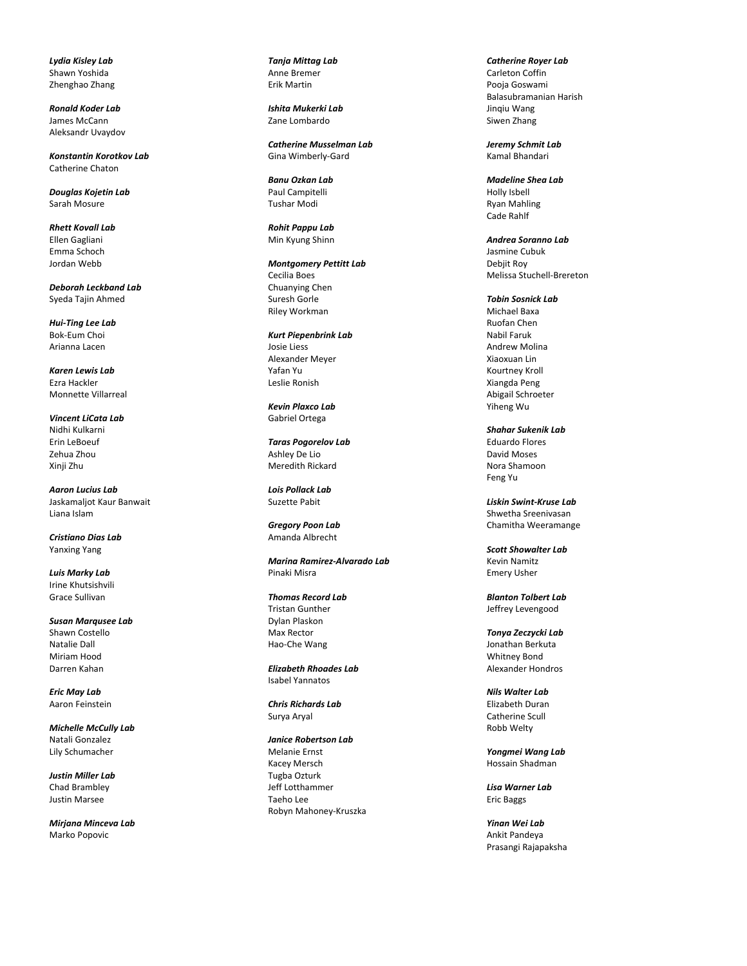*Lydia Kisley Lab* Shawn Yoshida Zhenghao Zhang

*Ronald Koder Lab* James McCann Aleksandr Uvaydov

*Konstantin Korotkov Lab* Catherine Chaton

*Douglas Kojetin Lab* Sarah Mosure

*Rhett Kovall Lab* Ellen Gagliani Emma Schoch Jordan Webb

*Deborah Leckband Lab* Syeda Tajin Ahmed

*Hui -Ting Lee Lab* Bok -Eum Choi Arianna Lacen

*Karen Lewis Lab* Ezra Hackler Monnette Villarreal

*Vincent LiCata Lab* Nidhi Kulkarni Erin LeBoeuf Zehua Zhou Xinji Zhu

*Aaron Lucius Lab* Jaskamaljot Kaur Banwait Liana Islam

*Cristiano Dias Lab* Yanxing Yang

*Luis Marky Lab* Irine Khutsishvili Grace Sullivan

*Susan Marqusee Lab* Shawn Costello Natalie Dall Miriam Hood Darren Kahan

*Eric May Lab* Aaron Feinstein

*Michelle McCully Lab* Natali Gonzalez Lily Schumacher

*Justin Miller Lab* Chad Brambley Justin Marsee

*Mirjana Minceva Lab* Marko Popovic

*Tanja Mittag Lab* Anne Bremer Erik Martin

*Ishita Mukerki Lab* Zane Lombardo

*Catherine Musselman Lab* Gina Wimberly -Gard

*Banu Ozkan Lab* Paul Campitelli Tushar Modi

*Rohit Pappu Lab* Min Kyung Shinn

*Montgomery Pettitt Lab* Cecilia Boes Chuanying Chen Suresh Gorle Riley Workman

*Kurt Piepenbrink Lab* Josie Liess Alexander Meyer Yafan Yu Leslie Ronish

*Kevin Plaxco Lab* Gabriel Ortega

*Taras Pogorelov Lab* Ashley De Lio Meredith Rickard

*Lois Pollack Lab* Suzette Pabit

*Gregory Poon Lab* Amanda Albrecht

*Marina Ramirez -Alvarado Lab* Pinaki Misra

*Thomas Record Lab* Tristan Gunther Dylan Plaskon Max Rector Hao -Che Wang

*Elizabeth Rhoades Lab* Isabel Yannatos

*Chris Richards Lab* Surya Aryal

*Janice Robertson Lab* Melanie Ernst Kacey Mersch Tugba Ozturk Jeff Lotthammer Taeho Lee Robyn Mahoney -Kruszka

*Catherine Royer Lab* Carleton Coffin Pooja Goswami Balasubramanian Harish Jinqiu Wang Siwen Zhang

*Jeremy Schmit Lab* Kamal Bhandari

*Madeline Shea Lab* Holly Isbell Ryan Mahling Cade Rahlf

*Andrea Soranno Lab* Jasmine Cubuk Debjit Roy Melissa Stuchell -Brereton

*Tobin Sosnick Lab* Michael Baxa Ruofan Chen Nabil Faruk Andrew Molina Xiaoxuan Lin Kourtney Kroll Xiangda Peng Abigail Schroeter Yiheng Wu

*Shahar Sukenik Lab* Eduardo Flores David Moses Nora Shamoon Feng Yu

*Liskin Swint -Kruse Lab* Shwetha Sreenivasan Chamitha Weeramange

*Scott Showalter Lab* Kevin Namitz Emery Usher

*Blanton Tolbert Lab* Jeffrey Levengood

*Tonya Zeczycki Lab* Jonathan Berkuta Whitney Bond Alexander Hondros

*Nils Walter Lab* Elizabeth Duran Catherine Scull Robb Welty

*Yongmei Wang Lab* Hossain Shadman

*Lisa Warner Lab* Eric Baggs

*Yinan Wei Lab* Ankit Pandeya Prasangi Rajapaksha